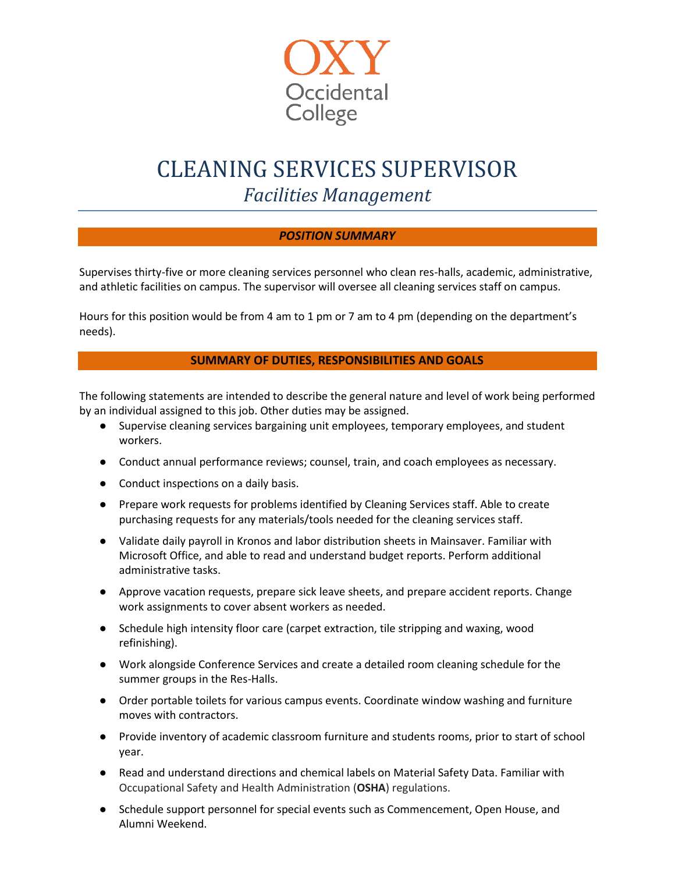

# CLEANING SERVICES SUPERVISOR

*Facilities Management*

## *POSITION SUMMARY*

Supervises thirty-five or more cleaning services personnel who clean res-halls, academic, administrative, and athletic facilities on campus. The supervisor will oversee all cleaning services staff on campus.

Hours for this position would be from 4 am to 1 pm or 7 am to 4 pm (depending on the department's needs).

## **SUMMARY OF DUTIES, RESPONSIBILITIES AND GOALS**

The following statements are intended to describe the general nature and level of work being performed by an individual assigned to this job. Other duties may be assigned.

- Supervise cleaning services bargaining unit employees, temporary employees, and student workers.
- Conduct annual performance reviews; counsel, train, and coach employees as necessary.
- Conduct inspections on a daily basis.
- Prepare work requests for problems identified by Cleaning Services staff. Able to create purchasing requests for any materials/tools needed for the cleaning services staff.
- Validate daily payroll in Kronos and labor distribution sheets in Mainsaver. Familiar with Microsoft Office, and able to read and understand budget reports. Perform additional administrative tasks.
- Approve vacation requests, prepare sick leave sheets, and prepare accident reports. Change work assignments to cover absent workers as needed.
- Schedule high intensity floor care (carpet extraction, tile stripping and waxing, wood refinishing).
- Work alongside Conference Services and create a detailed room cleaning schedule for the summer groups in the Res-Halls.
- Order portable toilets for various campus events. Coordinate window washing and furniture moves with contractors.
- Provide inventory of academic classroom furniture and students rooms, prior to start of school year.
- Read and understand directions and chemical labels on Material Safety Data. Familiar with Occupational Safety and Health Administration (**OSHA**) regulations.
- Schedule support personnel for special events such as Commencement, Open House, and Alumni Weekend.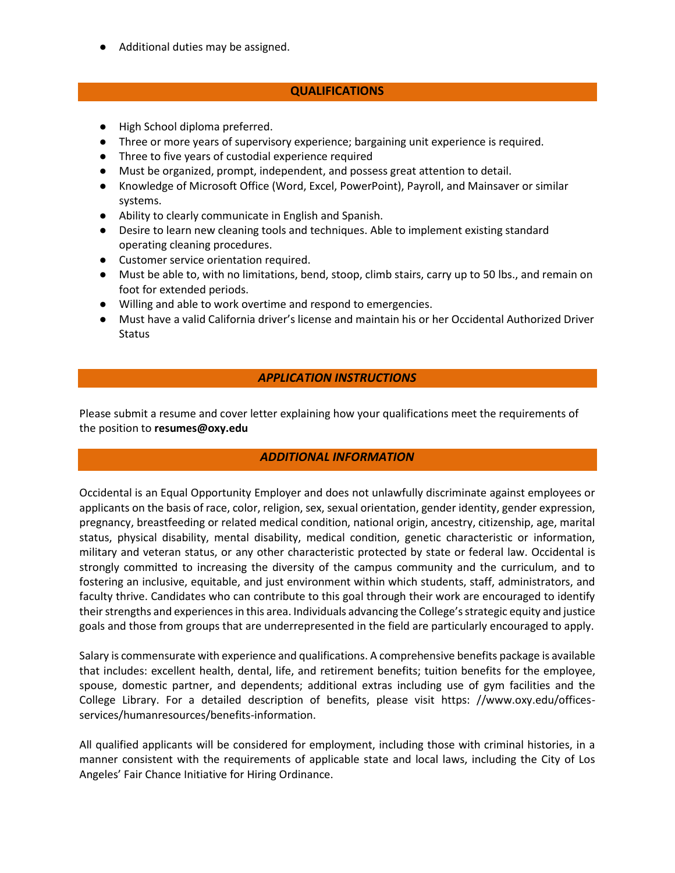● Additional duties may be assigned.

#### **QUALIFICATIONS**

- High School diploma preferred.
- Three or more years of supervisory experience; bargaining unit experience is required.
- Three to five years of custodial experience required
- Must be organized, prompt, independent, and possess great attention to detail.
- Knowledge of Microsoft Office (Word, Excel, PowerPoint), Payroll, and Mainsaver or similar systems.
- Ability to clearly communicate in English and Spanish.
- Desire to learn new cleaning tools and techniques. Able to implement existing standard operating cleaning procedures.
- Customer service orientation required.
- Must be able to, with no limitations, bend, stoop, climb stairs, carry up to 50 lbs., and remain on foot for extended periods.
- Willing and able to work overtime and respond to emergencies.
- Must have a valid California driver's license and maintain his or her Occidental Authorized Driver **Status**

## *APPLICATION INSTRUCTIONS*

Please submit a resume and cover letter explaining how your qualifications meet the requirements of the position to **[resumes@oxy.edu](mailto:resumes@oxy.edu)**

## *ADDITIONAL INFORMATION*

Occidental is an Equal Opportunity Employer and does not unlawfully discriminate against employees or applicants on the basis of race, color, religion, sex, sexual orientation, gender identity, gender expression, pregnancy, breastfeeding or related medical condition, national origin, ancestry, citizenship, age, marital status, physical disability, mental disability, medical condition, genetic characteristic or information, military and veteran status, or any other characteristic protected by state or federal law. Occidental is strongly committed to increasing the diversity of the campus community and the curriculum, and to fostering an inclusive, equitable, and just environment within which students, staff, administrators, and faculty thrive. Candidates who can contribute to this goal through their work are encouraged to identify their strengths and experiences in this area. Individuals advancing the College's strategic equity and justice goals and those from groups that are underrepresented in the field are particularly encouraged to apply.

Salary is commensurate with experience and qualifications. A comprehensive benefits package is available that includes: excellent health, dental, life, and retirement benefits; tuition benefits for the employee, spouse, domestic partner, and dependents; additional extras including use of gym facilities and the College Library. For a detailed description of benefits, please visit https: //www.oxy.edu/officesservices/humanresources/benefits-information.

All qualified applicants will be considered for employment, including those with criminal histories, in a manner consistent with the requirements of applicable state and local laws, including the City of Los Angeles' Fair Chance Initiative for Hiring Ordinance.